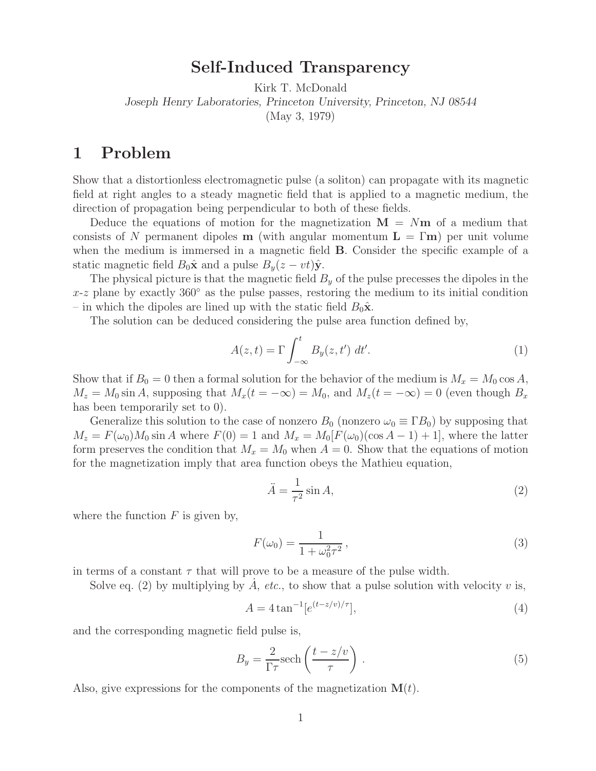## **Self-Induced Transparency**

Kirk T. McDonald

*Joseph Henry Laboratories, Princeton University, Princeton, NJ 08544*

(May 3, 1979)

## **1 Problem**

Show that a distortionless electromagnetic pulse (a soliton) can propagate with its magnetic field at right angles to a steady magnetic field that is applied to a magnetic medium, the direction of propagation being perpendicular to both of these fields.

Deduce the equations of motion for the magnetization  $M = Nm$  of a medium that consists of N permanent dipoles **m** (with angular momentum  $\mathbf{L} = \Gamma \mathbf{m}$ ) per unit volume when the medium is immersed in a magnetic field **B**. Consider the specific example of a static magnetic field  $B_0\hat{x}$  and a pulse  $B_y(z - vt)\hat{y}$ .

The physical picture is that the magnetic field  $B<sub>y</sub>$  of the pulse precesses the dipoles in the  $x-z$  plane by exactly 360 $\degree$  as the pulse passes, restoring the medium to its initial condition – in which the dipoles are lined up with the static field  $B_0\hat{\mathbf{x}}$ .

The solution can be deduced considering the pulse area function defined by,

$$
A(z,t) = \Gamma \int_{-\infty}^{t} B_y(z,t') dt'.
$$
 (1)

Show that if  $B_0 = 0$  then a formal solution for the behavior of the medium is  $M_x = M_0 \cos A$ ,  $M_z = M_0 \sin A$ , supposing that  $M_x(t = -\infty) = M_0$ , and  $M_z(t = -\infty) = 0$  (even though  $B_x$ has been temporarily set to 0).

Generalize this solution to the case of nonzero  $B_0$  (nonzero  $\omega_0 \equiv \Gamma B_0$ ) by supposing that  $M_z = F(\omega_0)M_0 \sin A$  where  $F(0) = 1$  and  $M_x = M_0[F(\omega_0)(\cos A - 1) + 1]$ , where the latter form preserves the condition that  $M_x = M_0$  when  $A = 0$ . Show that the equations of motion for the magnetization imply that area function obeys the Mathieu equation,

$$
\ddot{A} = \frac{1}{\tau^2} \sin A,\tag{2}
$$

where the function  $F$  is given by,

$$
F(\omega_0) = \frac{1}{1 + \omega_0^2 \tau^2},
$$
\n(3)

in terms of a constant  $\tau$  that will prove to be a measure of the pulse width.

Solve eq. (2) by multiplying by A, *etc.*, to show that a pulse solution with velocity v is,

$$
A = 4 \tan^{-1} [e^{(t - z/v)/\tau}], \tag{4}
$$

and the corresponding magnetic field pulse is,

$$
B_y = \frac{2}{\Gamma \tau} \text{sech}\left(\frac{t - z/v}{\tau}\right) \,. \tag{5}
$$

Also, give expressions for the components of the magnetization  $\mathbf{M}(t)$ .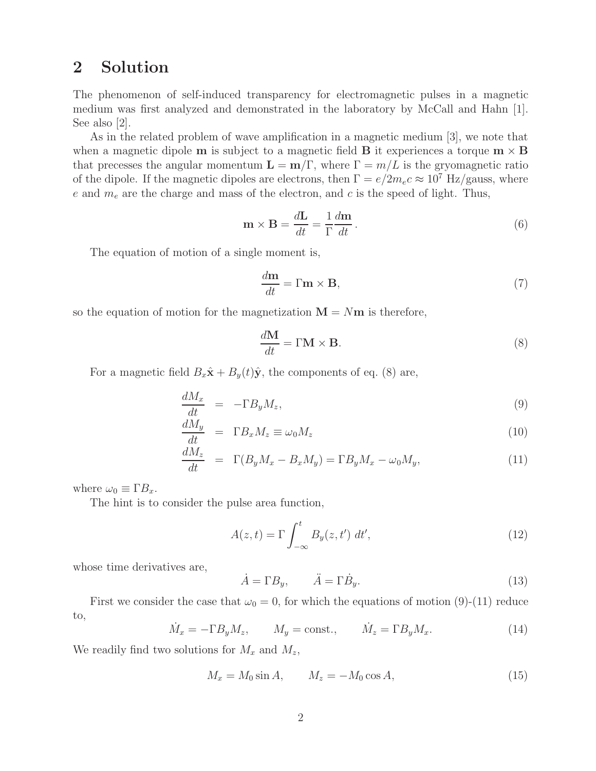## **2 Solution**

The phenomenon of self-induced transparency for electromagnetic pulses in a magnetic medium was first analyzed and demonstrated in the laboratory by McCall and Hahn [1]. See also [2].

As in the related problem of wave amplification in a magnetic medium [3], we note that when a magnetic dipole **m** is subject to a magnetic field **B** it experiences a torque  $\mathbf{m} \times \mathbf{B}$ that precesses the angular momentum  $\mathbf{L} = \mathbf{m}/\Gamma$ , where  $\Gamma = m/L$  is the gryomagnetic ratio of the dipole. If the magnetic dipoles are electrons, then  $\Gamma = e/2m_ec \approx 10^7 \text{ Hz/gauss}$ , where e and  $m_e$  are the charge and mass of the electron, and c is the speed of light. Thus,

$$
\mathbf{m} \times \mathbf{B} = \frac{d\mathbf{L}}{dt} = \frac{1}{\Gamma} \frac{d\mathbf{m}}{dt}.
$$
 (6)

The equation of motion of a single moment is,

$$
\frac{d\mathbf{m}}{dt} = \Gamma \mathbf{m} \times \mathbf{B},\tag{7}
$$

so the equation of motion for the magnetization  $M = Nm$  is therefore,

$$
\frac{d\mathbf{M}}{dt} = \Gamma \mathbf{M} \times \mathbf{B}.\tag{8}
$$

For a magnetic field  $B_x\hat{\mathbf{x}} + B_y(t)\hat{\mathbf{y}}$ , the components of eq. (8) are,

$$
\frac{dM_x}{dt} = -\Gamma B_y M_z,\tag{9}
$$

$$
\frac{dM_y}{dt} = \Gamma B_x M_z \equiv \omega_0 M_z \tag{10}
$$

$$
\frac{dM_z}{dt} = \Gamma(B_y M_x - B_x M_y) = \Gamma B_y M_x - \omega_0 M_y, \qquad (11)
$$

where  $\omega_0 \equiv \Gamma B_x$ .

The hint is to consider the pulse area function,

$$
A(z,t) = \Gamma \int_{-\infty}^{t} B_y(z,t') dt',
$$
\n(12)

whose time derivatives are,

$$
\dot{A} = \Gamma B_y, \qquad \ddot{A} = \Gamma \dot{B}_y. \tag{13}
$$

First we consider the case that  $\omega_0 = 0$ , for which the equations of motion (9)-(11) reduce to,

$$
\dot{M}_x = -\Gamma B_y M_z, \qquad M_y = \text{const.}, \qquad \dot{M}_z = \Gamma B_y M_x. \tag{14}
$$

We readily find two solutions for  $M_x$  and  $M_z$ ,

$$
M_x = M_0 \sin A, \qquad M_z = -M_0 \cos A,\tag{15}
$$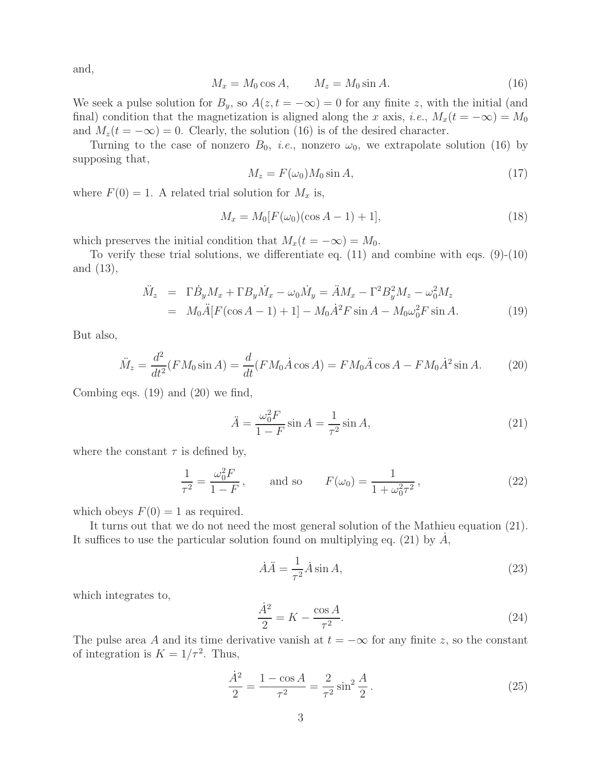and,

$$
M_x = M_0 \cos A, \qquad M_z = M_0 \sin A. \tag{16}
$$

We seek a pulse solution for  $B_y$ , so  $A(z, t = -\infty) = 0$  for any finite z, with the initial (and final) condition that the magnetization is aligned along the x axis, *i.e.*,  $M_x(t = -\infty) = M_0$ and  $M_z(t = -\infty) = 0$ . Clearly, the solution (16) is of the desired character.

Turning to the case of nonzero  $B_0$ , *i.e.*, nonzero  $\omega_0$ , we extrapolate solution (16) by supposing that,

$$
M_z = F(\omega_0) M_0 \sin A,\tag{17}
$$

where  $F(0) = 1$ . A related trial solution for  $M_x$  is,

$$
M_x = M_0[F(\omega_0)(\cos A - 1) + 1],
$$
\n(18)

which preserves the initial condition that  $M_x(t = -\infty) = M_0$ .

To verify these trial solutions, we differentiate eq.  $(11)$  and combine with eqs.  $(9)-(10)$ and (13),

$$
\ddot{M}_z = \Gamma \dot{B}_y M_x + \Gamma B_y \dot{M}_x - \omega_0 \dot{M}_y = \ddot{A} M_x - \Gamma^2 B_y^2 M_z - \omega_0^2 M_z \n= M_0 \ddot{A} [F(\cos A - 1) + 1] - M_0 \dot{A}^2 F \sin A - M_0 \omega_0^2 F \sin A.
$$
\n(19)

But also,

$$
\ddot{M}_z = \frac{d^2}{dt^2} (FM_0 \sin A) = \frac{d}{dt} (FM_0 \dot{A} \cos A) = FM_0 \ddot{A} \cos A - FM_0 \dot{A}^2 \sin A.
$$
 (20)

Combing eqs. (19) and (20) we find,

$$
\ddot{A} = \frac{\omega_0^2 F}{1 - F} \sin A = \frac{1}{\tau^2} \sin A,\tag{21}
$$

where the constant  $\tau$  is defined by,

$$
\frac{1}{\tau^2} = \frac{\omega_0^2 F}{1 - F}, \quad \text{and so} \quad F(\omega_0) = \frac{1}{1 + \omega_0^2 \tau^2}, \tag{22}
$$

which obeys  $F(0) = 1$  as required.

It turns out that we do not need the most general solution of the Mathieu equation (21). It suffices to use the particular solution found on multiplying eq.  $(21)$  by A,

$$
\dot{A}\ddot{A} = \frac{1}{\tau^2}\dot{A}\sin A,\tag{23}
$$

which integrates to,

$$
\frac{\dot{A}^2}{2} = K - \frac{\cos A}{\tau^2}.\tag{24}
$$

The pulse area A and its time derivative vanish at  $t = -\infty$  for any finite z, so the constant of integration is  $K = 1/\tau^2$ . Thus,

$$
\frac{\dot{A}^2}{2} = \frac{1 - \cos A}{\tau^2} = \frac{2}{\tau^2} \sin^2 \frac{A}{2} \,. \tag{25}
$$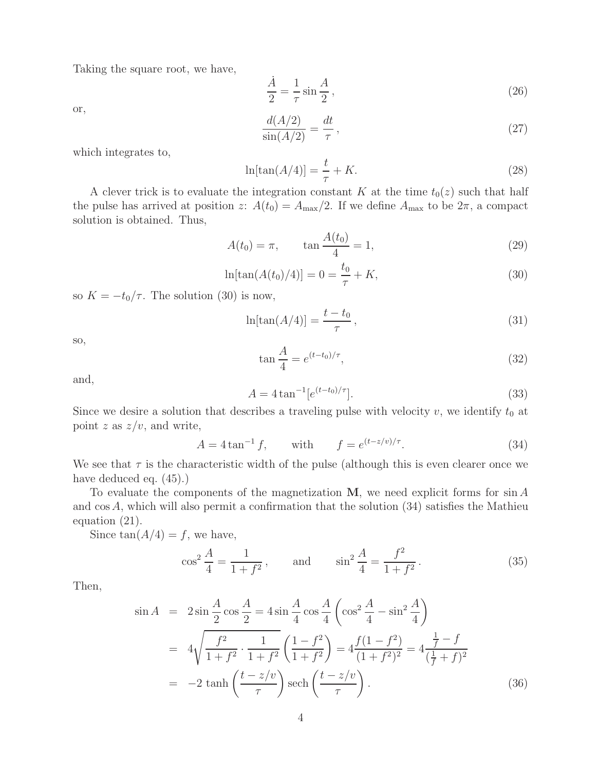Taking the square root, we have,

$$
\frac{\dot{A}}{2} = \frac{1}{\tau} \sin \frac{A}{2},\qquad(26)
$$

or,

$$
\frac{d(A/2)}{\sin(A/2)} = \frac{dt}{\tau},\qquad(27)
$$

which integrates to,

$$
\ln[\tan(A/4)] = \frac{t}{\tau} + K.\tag{28}
$$

A clever trick is to evaluate the integration constant K at the time  $t_0(z)$  such that half the pulse has arrived at position z:  $A(t_0) = A_{\text{max}}/2$ . If we define  $A_{\text{max}}$  to be  $2\pi$ , a compact solution is obtained. Thus,

$$
A(t_0) = \pi, \qquad \tan \frac{A(t_0)}{4} = 1,\tag{29}
$$

$$
\ln[\tan(A(t_0)/4)] = 0 = \frac{t_0}{\tau} + K,\tag{30}
$$

so  $K = -t_0/\tau$ . The solution (30) is now,

$$
\ln[\tan(A/4)] = \frac{t - t_0}{\tau},\tag{31}
$$

so,

$$
\tan\frac{A}{4} = e^{(t-t_0)/\tau},
$$
\n(32)

and,

$$
A = 4 \tan^{-1} [e^{(t-t_0)/\tau}]. \tag{33}
$$

Since we desire a solution that describes a traveling pulse with velocity  $v$ , we identify  $t_0$  at point z as  $z/v$ , and write,

$$
A = 4 \tan^{-1} f
$$
, with  $f = e^{(t - z/v)/\tau}$ . (34)

We see that  $\tau$  is the characteristic width of the pulse (although this is even clearer once we have deduced eq. (45).)

To evaluate the components of the magnetization **M**, we need explicit forms for sin A and  $\cos A$ , which will also permit a confirmation that the solution (34) satisfies the Mathieu equation (21).

Since  $tan(A/4) = f$ , we have,

$$
\cos^2 \frac{A}{4} = \frac{1}{1+f^2}
$$
, and  $\sin^2 \frac{A}{4} = \frac{f^2}{1+f^2}$ . (35)

Then,

$$
\sin A = 2 \sin \frac{A}{2} \cos \frac{A}{2} = 4 \sin \frac{A}{4} \cos \frac{A}{4} \left( \cos^2 \frac{A}{4} - \sin^2 \frac{A}{4} \right)
$$
  
=  $4 \sqrt{\frac{f^2}{1 + f^2} \cdot \frac{1}{1 + f^2}} \left( \frac{1 - f^2}{1 + f^2} \right) = 4 \frac{f(1 - f^2)}{(1 + f^2)^2} = 4 \frac{\frac{1}{f} - f}{(\frac{1}{f} + f)^2}$   
=  $-2 \tanh \left( \frac{t - z/v}{\tau} \right) \operatorname{sech} \left( \frac{t - z/v}{\tau} \right).$  (36)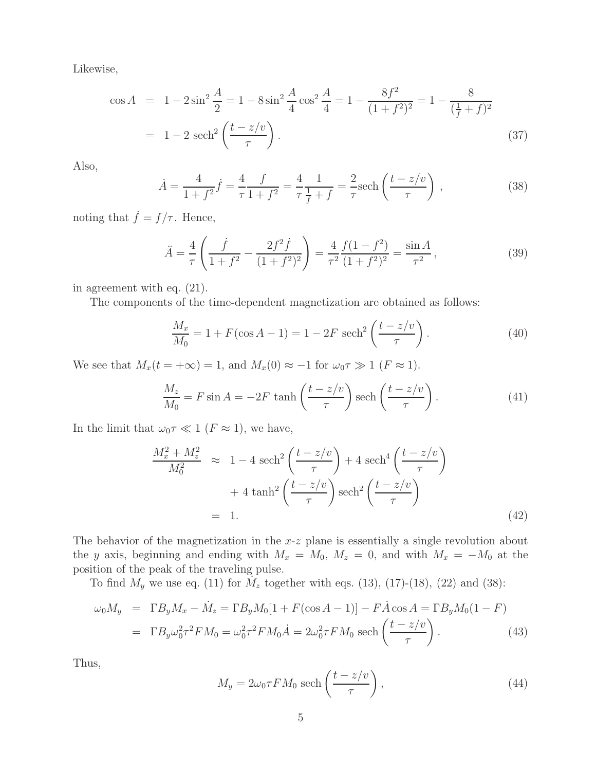Likewise,

$$
\cos A = 1 - 2\sin^2\frac{A}{2} = 1 - 8\sin^2\frac{A}{4}\cos^2\frac{A}{4} = 1 - \frac{8f^2}{(1+f^2)^2} = 1 - \frac{8}{(\frac{1}{f}+f)^2}
$$

$$
= 1 - 2\,\text{sech}^2\left(\frac{t-z/v}{\tau}\right). \tag{37}
$$

Also,

$$
\dot{A} = \frac{4}{1+f^2}\dot{f} = \frac{4}{\tau}\frac{f}{1+f^2} = \frac{4}{\tau}\frac{1}{\frac{1}{f}+f} = \frac{2}{\tau}\text{sech}\left(\frac{t-z/v}{\tau}\right),\tag{38}
$$

noting that  $\dot{f} = f/\tau$ . Hence,

$$
\ddot{A} = \frac{4}{\tau} \left( \frac{\dot{f}}{1+f^2} - \frac{2f^2 \dot{f}}{(1+f^2)^2} \right) = \frac{4}{\tau^2} \frac{f(1-f^2)}{(1+f^2)^2} = \frac{\sin A}{\tau^2},\tag{39}
$$

in agreement with eq. (21).

The components of the time-dependent magnetization are obtained as follows:

$$
\frac{M_x}{M_0} = 1 + F(\cos A - 1) = 1 - 2F \text{ sech}^2\left(\frac{t - z/v}{\tau}\right). \tag{40}
$$

We see that  $M_x(t = +\infty) = 1$ , and  $M_x(0) \approx -1$  for  $\omega_0 \tau \gg 1$  ( $F \approx 1$ ).

$$
\frac{M_z}{M_0} = F \sin A = -2F \tanh\left(\frac{t - z/v}{\tau}\right) \operatorname{sech}\left(\frac{t - z/v}{\tau}\right). \tag{41}
$$

In the limit that  $\omega_0 \tau \ll 1$  ( $F \approx 1$ ), we have,

$$
\frac{M_x^2 + M_z^2}{M_0^2} \approx 1 - 4 \operatorname{sech}^2\left(\frac{t - z/v}{\tau}\right) + 4 \operatorname{sech}^4\left(\frac{t - z/v}{\tau}\right)
$$

$$
+ 4 \tanh^2\left(\frac{t - z/v}{\tau}\right) \operatorname{sech}^2\left(\frac{t - z/v}{\tau}\right)
$$

$$
= 1. \tag{42}
$$

The behavior of the magnetization in the  $x-z$  plane is essentially a single revolution about the y axis, beginning and ending with  $M_x = M_0$ ,  $M_z = 0$ , and with  $M_x = -M_0$  at the position of the peak of the traveling pulse.

To find  $M_y$  we use eq. (11) for  $M_z$  together with eqs. (13), (17)-(18), (22) and (38):

$$
\omega_0 M_y = \Gamma B_y M_x - \dot{M}_z = \Gamma B_y M_0 [1 + F(\cos A - 1)] - F \dot{A} \cos A = \Gamma B_y M_0 (1 - F)
$$
  
=  $\Gamma B_y \omega_0^2 \tau^2 F M_0 = \omega_0^2 \tau^2 F M_0 \dot{A} = 2\omega_0^2 \tau F M_0 \text{ sech}\left(\frac{t - z/v}{\tau}\right).$  (43)

Thus,

$$
M_y = 2\omega_0 \tau F M_0 \text{ sech}\left(\frac{t - z/v}{\tau}\right),\tag{44}
$$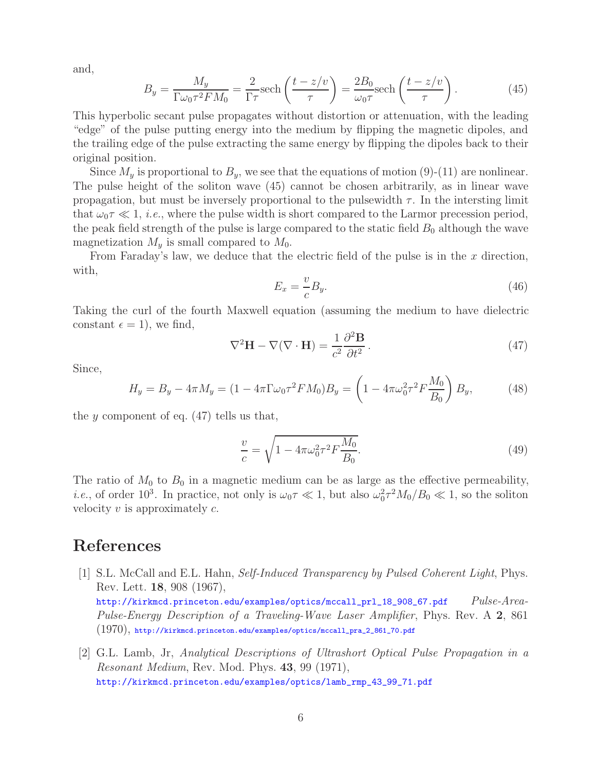and,

$$
B_y = \frac{M_y}{\Gamma \omega_0 \tau^2 F M_0} = \frac{2}{\Gamma \tau} \text{sech}\left(\frac{t - z/v}{\tau}\right) = \frac{2B_0}{\omega_0 \tau} \text{sech}\left(\frac{t - z/v}{\tau}\right). \tag{45}
$$

This hyperbolic secant pulse propagates without distortion or attenuation, with the leading "edge" of the pulse putting energy into the medium by flipping the magnetic dipoles, and the trailing edge of the pulse extracting the same energy by flipping the dipoles back to their original position.

Since  $M_y$  is proportional to  $B_y$ , we see that the equations of motion (9)-(11) are nonlinear. The pulse height of the soliton wave (45) cannot be chosen arbitrarily, as in linear wave propagation, but must be inversely proportional to the pulsewidth  $\tau$ . In the intersting limit that  $\omega_0 \tau \ll 1$ , *i.e.*, where the pulse width is short compared to the Larmor precession period, the peak field strength of the pulse is large compared to the static field  $B_0$  although the wave magnetization  $M_y$  is small compared to  $M_0$ .

From Faraday's law, we deduce that the electric field of the pulse is in the  $x$  direction, with,

$$
E_x = \frac{v}{c} B_y. \tag{46}
$$

Taking the curl of the fourth Maxwell equation (assuming the medium to have dielectric constant  $\epsilon = 1$ , we find,

$$
\nabla^2 \mathbf{H} - \nabla (\nabla \cdot \mathbf{H}) = \frac{1}{c^2} \frac{\partial^2 \mathbf{B}}{\partial t^2}.
$$
 (47)

Since,

$$
H_y = B_y - 4\pi M_y = (1 - 4\pi \Gamma \omega_0 \tau^2 F M_0) B_y = \left(1 - 4\pi \omega_0^2 \tau^2 F \frac{M_0}{B_0}\right) B_y,
$$
 (48)

the y component of eq.  $(47)$  tells us that,

$$
\frac{v}{c} = \sqrt{1 - 4\pi\omega_0^2 \tau^2 F \frac{M_0}{B_0}}.
$$
\n(49)

The ratio of  $M_0$  to  $B_0$  in a magnetic medium can be as large as the effective permeability, *i.e.*, of order 10<sup>3</sup>. In practice, not only is  $\omega_0 \tau \ll 1$ , but also  $\omega_0^2 \tau^2 M_0/B_0 \ll 1$ , so the soliton velocity  $v$  is approximately  $c$ .

## **References**

[1] S.L. McCall and E.L. Hahn, *Self-Induced Transparency by Pulsed Coherent Light*, Phys. Rev. Lett. **18**, 908 (1967),

http://kirkmcd.princeton.edu/examples/optics/mccall\_prl\_18\_908\_67.pdf *Pulse-Area-Pulse-Energy Description of a Traveling-Wave Laser Amplifier*, Phys. Rev. A **2**, 861  $(1970)$ , http://kirkmcd.princeton.edu/examples/optics/mccall\_pra\_2\_861\_70.pdf

[2] G.L. Lamb, Jr, *Analytical Descriptions of Ultrashort Optical Pulse Propagation in a Resonant Medium*, Rev. Mod. Phys. **43**, 99 (1971), http://kirkmcd.princeton.edu/examples/optics/lamb\_rmp\_43\_99\_71.pdf